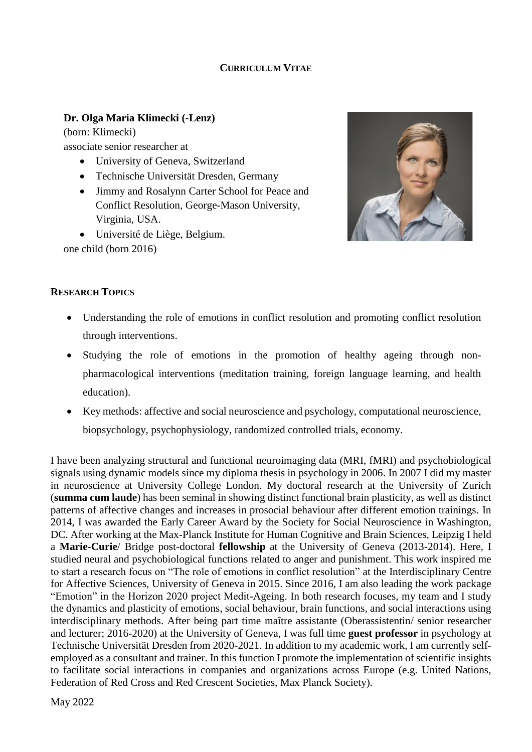### **CURRICULUM VITAE**

### **Dr. Olga Maria Klimecki (-Lenz)**

(born: Klimecki) associate senior researcher at

- University of Geneva, Switzerland
- Technische Universität Dresden, Germany
- Jimmy and Rosalynn Carter School for Peace and Conflict Resolution, George-Mason University, Virginia, USA.
- Université de Liège, Belgium.

one child (born 2016)



### **RESEARCH TOPICS**

- Understanding the role of emotions in conflict resolution and promoting conflict resolution through interventions.
- Studying the role of emotions in the promotion of healthy ageing through nonpharmacological interventions (meditation training, foreign language learning, and health education).
- Key methods: affective and social neuroscience and psychology, computational neuroscience, biopsychology, psychophysiology, randomized controlled trials, economy.

I have been analyzing structural and functional neuroimaging data (MRI, fMRI) and psychobiological signals using dynamic models since my diploma thesis in psychology in 2006. In 2007 I did my master in neuroscience at University College London. My doctoral research at the University of Zurich (**summa cum laude**) has been seminal in showing distinct functional brain plasticity, as well as distinct patterns of affective changes and increases in prosocial behaviour after different emotion trainings. In 2014, I was awarded the Early Career Award by the Society for Social Neuroscience in Washington, DC. After working at the Max-Planck Institute for Human Cognitive and Brain Sciences, Leipzig I held a **Marie-Curie**/ Bridge post-doctoral **fellowship** at the University of Geneva (2013-2014). Here, I studied neural and psychobiological functions related to anger and punishment. This work inspired me to start a research focus on "The role of emotions in conflict resolution" at the Interdisciplinary Centre for Affective Sciences, University of Geneva in 2015. Since 2016, I am also leading the work package "Emotion" in the Horizon 2020 project Medit-Ageing. In both research focuses, my team and I study the dynamics and plasticity of emotions, social behaviour, brain functions, and social interactions using interdisciplinary methods. After being part time maître assistante (Oberassistentin/ senior researcher and lecturer; 2016-2020) at the University of Geneva, I was full time **guest professor** in psychology at Technische Universität Dresden from 2020-2021. In addition to my academic work, I am currently selfemployed as a consultant and trainer. In this function I promote the implementation of scientific insights to facilitate social interactions in companies and organizations across Europe (e.g. United Nations, Federation of Red Cross and Red Crescent Societies, Max Planck Society).

May 2022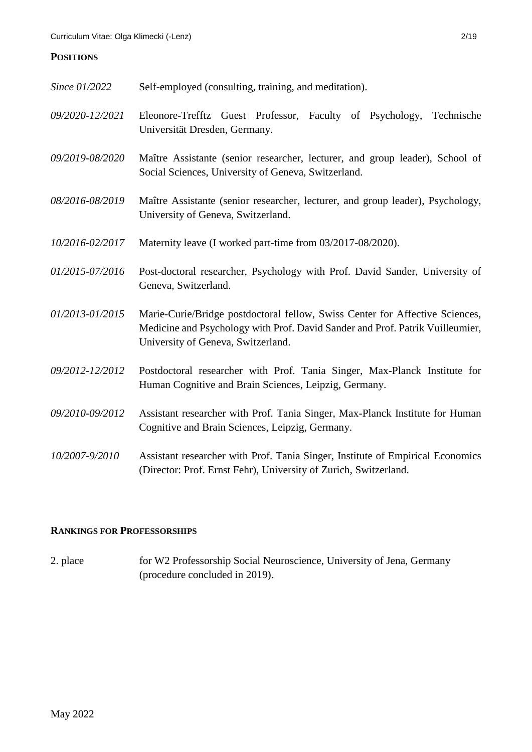## **POSITIONS**

| Since 01/2022   | Self-employed (consulting, training, and meditation).                                                                                                                                               |
|-----------------|-----------------------------------------------------------------------------------------------------------------------------------------------------------------------------------------------------|
| 09/2020-12/2021 | Eleonore-Trefftz Guest Professor, Faculty of Psychology,<br>Technische<br>Universität Dresden, Germany.                                                                                             |
| 09/2019-08/2020 | Maître Assistante (senior researcher, lecturer, and group leader), School of<br>Social Sciences, University of Geneva, Switzerland.                                                                 |
| 08/2016-08/2019 | Maître Assistante (senior researcher, lecturer, and group leader), Psychology,<br>University of Geneva, Switzerland.                                                                                |
| 10/2016-02/2017 | Maternity leave (I worked part-time from 03/2017-08/2020).                                                                                                                                          |
| 01/2015-07/2016 | Post-doctoral researcher, Psychology with Prof. David Sander, University of<br>Geneva, Switzerland.                                                                                                 |
| 01/2013-01/2015 | Marie-Curie/Bridge postdoctoral fellow, Swiss Center for Affective Sciences,<br>Medicine and Psychology with Prof. David Sander and Prof. Patrik Vuilleumier,<br>University of Geneva, Switzerland. |
| 09/2012-12/2012 | Postdoctoral researcher with Prof. Tania Singer, Max-Planck Institute for<br>Human Cognitive and Brain Sciences, Leipzig, Germany.                                                                  |
| 09/2010-09/2012 | Assistant researcher with Prof. Tania Singer, Max-Planck Institute for Human<br>Cognitive and Brain Sciences, Leipzig, Germany.                                                                     |
| 10/2007-9/2010  | Assistant researcher with Prof. Tania Singer, Institute of Empirical Economics<br>(Director: Prof. Ernst Fehr), University of Zurich, Switzerland.                                                  |

## **RANKINGS FOR PROFESSORSHIPS**

2. place for W2 Professorship Social Neuroscience, University of Jena, Germany (procedure concluded in 2019).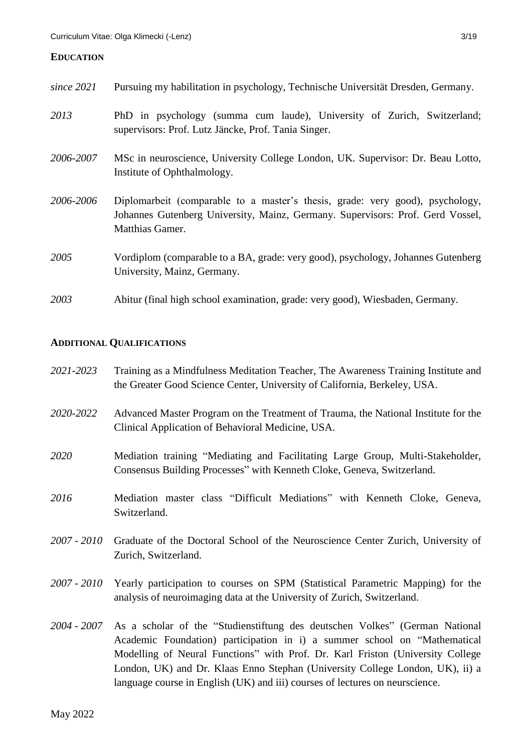#### **EDUCATION**

*since 2021* Pursuing my habilitation in psychology, Technische Universität Dresden, Germany. *2013* PhD in psychology (summa cum laude), University of Zurich, Switzerland; supervisors: Prof. Lutz Jäncke, Prof. Tania Singer. *2006-2007* MSc in neuroscience, University College London, UK. Supervisor: Dr. Beau Lotto, Institute of Ophthalmology. *2006-2006* Diplomarbeit (comparable to a master's thesis, grade: very good), psychology, Johannes Gutenberg University, Mainz, Germany. Supervisors: Prof. Gerd Vossel, Matthias Gamer. *2005* Vordiplom (comparable to a BA, grade: very good), psychology, Johannes Gutenberg University, Mainz, Germany. *2003* Abitur (final high school examination, grade: very good), Wiesbaden, Germany.

### **ADDITIONAL QUALIFICATIONS**

| 2021-2023   | Training as a Mindfulness Meditation Teacher, The Awareness Training Institute and<br>the Greater Good Science Center, University of California, Berkeley, USA.                                                                                                                                                                                                                                                         |
|-------------|-------------------------------------------------------------------------------------------------------------------------------------------------------------------------------------------------------------------------------------------------------------------------------------------------------------------------------------------------------------------------------------------------------------------------|
| 2020-2022   | Advanced Master Program on the Treatment of Trauma, the National Institute for the<br>Clinical Application of Behavioral Medicine, USA.                                                                                                                                                                                                                                                                                 |
| 2020        | Mediation training "Mediating and Facilitating Large Group, Multi-Stakeholder,<br>Consensus Building Processes" with Kenneth Cloke, Geneva, Switzerland.                                                                                                                                                                                                                                                                |
| 2016        | Mediation master class "Difficult Mediations" with Kenneth Cloke, Geneva,<br>Switzerland.                                                                                                                                                                                                                                                                                                                               |
| 2007 - 2010 | Graduate of the Doctoral School of the Neuroscience Center Zurich, University of<br>Zurich, Switzerland.                                                                                                                                                                                                                                                                                                                |
| 2007 - 2010 | Yearly participation to courses on SPM (Statistical Parametric Mapping) for the<br>analysis of neuroimaging data at the University of Zurich, Switzerland.                                                                                                                                                                                                                                                              |
|             | 2004 - 2007 As a scholar of the "Studienstiftung des deutschen Volkes" (German National<br>Academic Foundation) participation in i) a summer school on "Mathematical<br>Modelling of Neural Functions" with Prof. Dr. Karl Friston (University College<br>London, UK) and Dr. Klaas Enno Stephan (University College London, UK), ii) a<br>language course in English (UK) and iii) courses of lectures on neurscience. |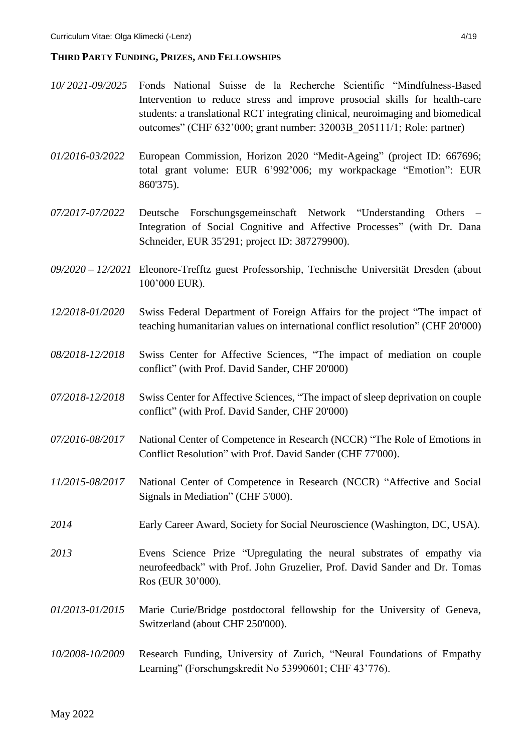#### **THIRD PARTY FUNDING, PRIZES, AND FELLOWSHIPS**

- *10/ 2021-09/2025* Fonds National Suisse de la Recherche Scientific "Mindfulness-Based Intervention to reduce stress and improve prosocial skills for health-care students: a translational RCT integrating clinical, neuroimaging and biomedical outcomes" (CHF 632'000; grant number: 32003B\_205111/1; Role: partner)
- *01/2016-03/2022* European Commission, Horizon 2020 "Medit-Ageing" (project ID: 667696; total grant volume: EUR 6'992'006; my workpackage "Emotion": EUR 860'375).
- *07/2017-07/2022* Deutsche Forschungsgemeinschaft Network "Understanding Others Integration of Social Cognitive and Affective Processes" (with Dr. Dana Schneider, EUR 35'291; project ID: 387279900).
- *09/2020 – 12/2021* Eleonore-Trefftz guest Professorship, Technische Universität Dresden (about 100'000 EUR).
- *12/2018-01/2020* Swiss Federal Department of Foreign Affairs for the project "The impact of teaching humanitarian values on international conflict resolution" (CHF 20'000)
- *08/2018-12/2018* Swiss Center for Affective Sciences, "The impact of mediation on couple conflict" (with Prof. David Sander, CHF 20'000)
- *07/2018-12/2018* Swiss Center for Affective Sciences, "The impact of sleep deprivation on couple conflict" (with Prof. David Sander, CHF 20'000)
- *07/2016-08/2017* National Center of Competence in Research (NCCR) "The Role of Emotions in Conflict Resolution" with Prof. David Sander (CHF 77'000).
- *11/2015-08/2017* National Center of Competence in Research (NCCR) "Affective and Social Signals in Mediation" (CHF 5'000).
- *2014* Early Career Award, Society for Social Neuroscience (Washington, DC, USA).
- *2013* Evens Science Prize "Upregulating the neural substrates of empathy via neurofeedback" with Prof. John Gruzelier, Prof. David Sander and Dr. Tomas Ros (EUR 30'000).
- *01/2013-01/2015* Marie Curie/Bridge postdoctoral fellowship for the University of Geneva, Switzerland (about CHF 250'000).
- *10/2008-10/2009* Research Funding, University of Zurich, "Neural Foundations of Empathy Learning" (Forschungskredit No 53990601; CHF 43'776).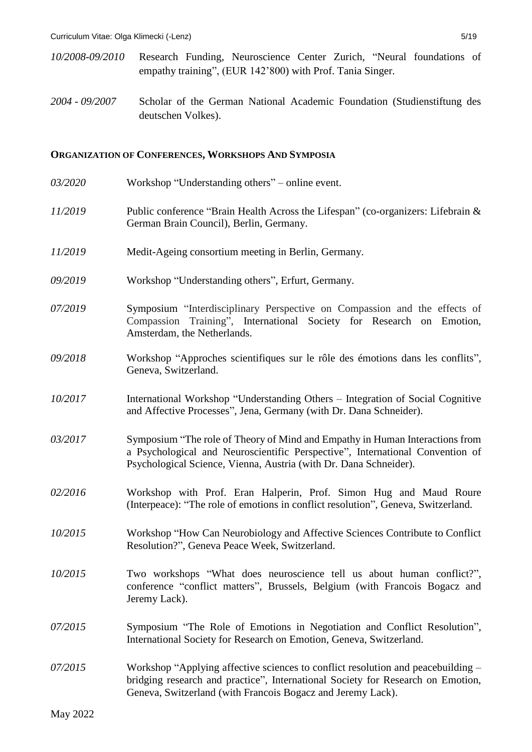- *10/2008-09/2010* Research Funding, Neuroscience Center Zurich, "Neural foundations of empathy training", (EUR 142'800) with Prof. Tania Singer.
- *2004 - 09/2007* Scholar of the German National Academic Foundation (Studienstiftung des deutschen Volkes).

#### **ORGANIZATION OF CONFERENCES, WORKSHOPS AND SYMPOSIA**

03/2020 Workshop "Understanding others" – online event. *11/2019* Public conference "Brain Health Across the Lifespan" (co-organizers: Lifebrain & German Brain Council), Berlin, Germany. *11/2019* Medit-Ageing consortium meeting in Berlin, Germany. *09/2019* Workshop "Understanding others", Erfurt, Germany. *07/2019* Symposium "Interdisciplinary Perspective on Compassion and the effects of Compassion Training", International Society for Research on Emotion, Amsterdam, the Netherlands. *09/2018* Workshop "Approches scientifiques sur le rôle des émotions dans les conflits", Geneva, Switzerland. *10/2017* International Workshop "Understanding Others – Integration of Social Cognitive and Affective Processes", Jena, Germany (with Dr. Dana Schneider). *03/2017* Symposium "The role of Theory of Mind and Empathy in Human Interactions from a Psychological and Neuroscientific Perspective", International Convention of Psychological Science, Vienna, Austria (with Dr. Dana Schneider). *02/2016* Workshop with Prof. Eran Halperin, Prof. Simon Hug and Maud Roure (Interpeace): "The role of emotions in conflict resolution", Geneva, Switzerland. *10/2015* Workshop "How Can Neurobiology and Affective Sciences Contribute to Conflict Resolution?", Geneva Peace Week, Switzerland. *10/2015* Two workshops "What does neuroscience tell us about human conflict?", conference "conflict matters", Brussels, Belgium (with Francois Bogacz and Jeremy Lack). *07/2015* Symposium "The Role of Emotions in Negotiation and Conflict Resolution", International Society for Research on Emotion, Geneva, Switzerland. *07/2015* Workshop "Applying affective sciences to conflict resolution and peacebuilding – bridging research and practice", International Society for Research on Emotion, Geneva, Switzerland (with Francois Bogacz and Jeremy Lack).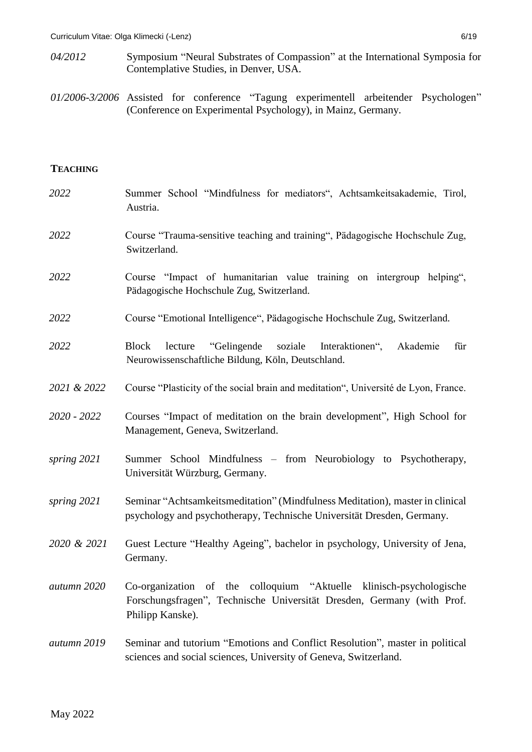- *04/2012* Symposium "Neural Substrates of Compassion" at the International Symposia for Contemplative Studies, in Denver, USA.
- *01/2006-3/2006* Assisted for conference "Tagung experimentell arbeitender Psychologen" (Conference on Experimental Psychology), in Mainz, Germany.

### **TEACHING**

| 2022        | Summer School "Mindfulness for mediators", Achtsamkeitsakademie, Tirol,<br>Austria.                                                                                   |
|-------------|-----------------------------------------------------------------------------------------------------------------------------------------------------------------------|
| 2022        | Course "Trauma-sensitive teaching and training", Pädagogische Hochschule Zug,<br>Switzerland.                                                                         |
| 2022        | Course "Impact of humanitarian value training on intergroup helping",<br>Pädagogische Hochschule Zug, Switzerland.                                                    |
| 2022        | Course "Emotional Intelligence", Pädagogische Hochschule Zug, Switzerland.                                                                                            |
| 2022        | <b>Block</b><br>"Gelingende<br>soziale<br>lecture<br>Interaktionen",<br>Akademie<br>für<br>Neurowissenschaftliche Bildung, Köln, Deutschland.                         |
| 2021 & 2022 | Course "Plasticity of the social brain and meditation", Université de Lyon, France.                                                                                   |
| 2020 - 2022 | Courses "Impact of meditation on the brain development", High School for<br>Management, Geneva, Switzerland.                                                          |
| spring 2021 | Summer School Mindfulness - from Neurobiology to Psychotherapy,<br>Universität Würzburg, Germany.                                                                     |
| spring 2021 | Seminar "Achtsamkeitsmeditation" (Mindfulness Meditation), master in clinical<br>psychology and psychotherapy, Technische Universität Dresden, Germany.               |
| 2020 & 2021 | Guest Lecture "Healthy Ageing", bachelor in psychology, University of Jena,<br>Germany.                                                                               |
| autumn 2020 | Co-organization of the colloquium "Aktuelle"<br>klinisch-psychologische<br>Forschungsfragen", Technische Universität Dresden, Germany (with Prof.<br>Philipp Kanske). |
| autumn 2019 | Seminar and tutorium "Emotions and Conflict Resolution", master in political<br>sciences and social sciences, University of Geneva, Switzerland.                      |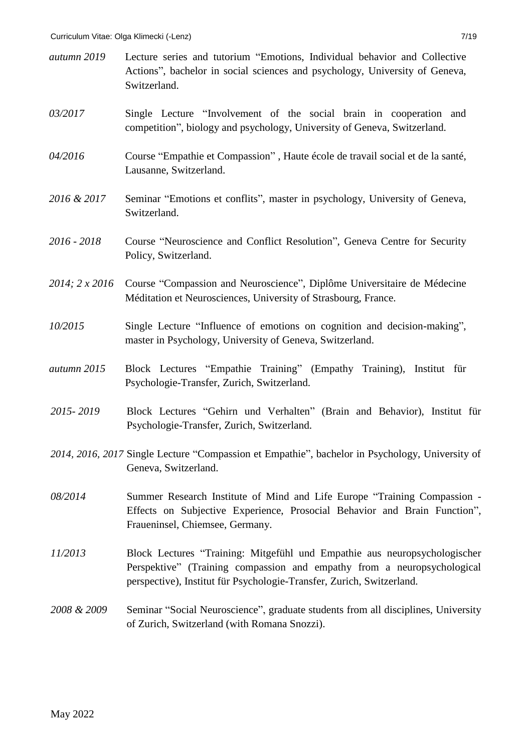- *autumn 2019* Lecture series and tutorium "Emotions, Individual behavior and Collective Actions", bachelor in social sciences and psychology, University of Geneva, Switzerland.
- *03/2017* Single Lecture "Involvement of the social brain in cooperation and competition", biology and psychology, University of Geneva, Switzerland.
- *04/2016* Course "Empathie et Compassion" , Haute école de travail social et de la santé, Lausanne, Switzerland.
- *2016 & 2017* Seminar "Emotions et conflits", master in psychology, University of Geneva, Switzerland.
- *2016 - 2018* Course "Neuroscience and Conflict Resolution", Geneva Centre for Security Policy, Switzerland.
- *2014; 2 x 2016* Course "Compassion and Neuroscience", Diplôme Universitaire de Médecine Méditation et Neurosciences, University of Strasbourg, France.
- *10/2015* Single Lecture "Influence of emotions on cognition and decision-making", master in Psychology, University of Geneva, Switzerland.
- *autumn 2015* Block Lectures "Empathie Training" (Empathy Training), Institut für Psychologie-Transfer, Zurich, Switzerland.
- *2015- 2019* Block Lectures "Gehirn und Verhalten" (Brain and Behavior), Institut für Psychologie-Transfer, Zurich, Switzerland.
- *2014, 2016, 2017* Single Lecture "Compassion et Empathie", bachelor in Psychology, University of Geneva, Switzerland.
- *08/2014* Summer Research Institute of Mind and Life Europe "Training Compassion Effects on Subjective Experience, Prosocial Behavior and Brain Function", Fraueninsel, Chiemsee, Germany.
- *11/2013* Block Lectures "Training: Mitgefühl und Empathie aus neuropsychologischer Perspektive" (Training compassion and empathy from a neuropsychological perspective), Institut für Psychologie-Transfer, Zurich, Switzerland.
- *2008 & 2009* Seminar "Social Neuroscience", graduate students from all disciplines, University of Zurich, Switzerland (with Romana Snozzi).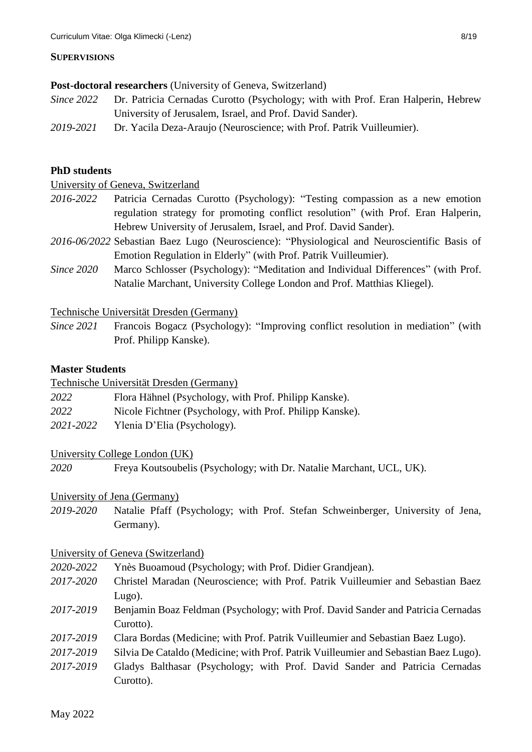### **SUPERVISIONS**

#### **Post-doctoral researchers** (University of Geneva, Switzerland)

- *Since 2022* Dr. Patricia Cernadas Curotto (Psychology; with with Prof. Eran Halperin, Hebrew University of Jerusalem, Israel, and Prof. David Sander).
- *2019-2021* Dr. Yacila Deza-Araujo (Neuroscience; with Prof. Patrik Vuilleumier).

### **PhD students**

University of Geneva, Switzerland

- *2016-2022* Patricia Cernadas Curotto (Psychology): "Testing compassion as a new emotion regulation strategy for promoting conflict resolution" (with Prof. Eran Halperin, Hebrew University of Jerusalem, Israel, and Prof. David Sander).
- *2016-06/2022* Sebastian Baez Lugo (Neuroscience): "Physiological and Neuroscientific Basis of Emotion Regulation in Elderly" (with Prof. Patrik Vuilleumier).
- *Since 2020* Marco Schlosser (Psychology): "Meditation and Individual Differences" (with Prof. Natalie Marchant, University College London and Prof. Matthias Kliegel).

Technische Universität Dresden (Germany)

*Since 2021* Francois Bogacz (Psychology): "Improving conflict resolution in mediation" (with Prof. Philipp Kanske).

#### **Master Students**

Technische Universität Dresden (Germany)

- *2022* Flora Hähnel (Psychology, with Prof. Philipp Kanske).
- *2022* Nicole Fichtner (Psychology, with Prof. Philipp Kanske).
- *2021-2022* Ylenia D'Elia (Psychology).

### University College London (UK)

*2020* Freya Koutsoubelis (Psychology; with Dr. Natalie Marchant, UCL, UK).

### University of Jena (Germany)

*2019-2020* Natalie Pfaff (Psychology; with Prof. Stefan Schweinberger, University of Jena, Germany).

### University of Geneva (Switzerland)

- *2020-2022* Ynès Buoamoud (Psychology; with Prof. Didier Grandjean).
- *2017-2020* Christel Maradan (Neuroscience; with Prof. Patrik Vuilleumier and Sebastian Baez Lugo).
- *2017-2019* Benjamin Boaz Feldman (Psychology; with Prof. David Sander and Patricia Cernadas Curotto).
- *2017-2019* Clara Bordas (Medicine; with Prof. Patrik Vuilleumier and Sebastian Baez Lugo).
- *2017-2019* Silvia De Cataldo (Medicine; with Prof. Patrik Vuilleumier and Sebastian Baez Lugo).
- *2017-2019* Gladys Balthasar (Psychology; with Prof. David Sander and Patricia Cernadas Curotto).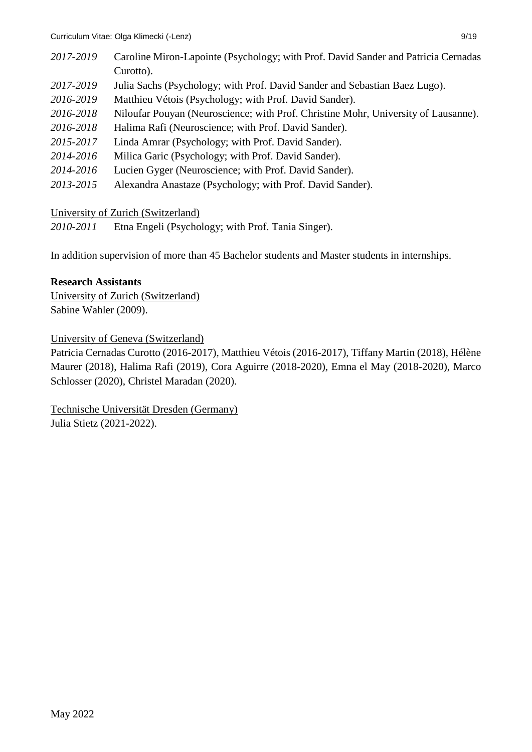| 2017-2019 | Caroline Miron-Lapointe (Psychology; with Prof. David Sander and Patricia Cernadas |
|-----------|------------------------------------------------------------------------------------|
|           | Curotto).                                                                          |
| 2017-2019 | Julia Sachs (Psychology; with Prof. David Sander and Sebastian Baez Lugo).         |
| 2016-2019 | Matthieu Vétois (Psychology; with Prof. David Sander).                             |
| 2016-2018 | Niloufar Pouyan (Neuroscience; with Prof. Christine Mohr, University of Lausanne). |
| 2016-2018 | Halima Rafi (Neuroscience; with Prof. David Sander).                               |
| 2015-2017 | Linda Amrar (Psychology; with Prof. David Sander).                                 |
| 2014-2016 | Milica Garic (Psychology; with Prof. David Sander).                                |
| 2014-2016 | Lucien Gyger (Neuroscience; with Prof. David Sander).                              |
| 2013-2015 | Alexandra Anastaze (Psychology; with Prof. David Sander).                          |

## University of Zurich (Switzerland)

*2010-2011* Etna Engeli (Psychology; with Prof. Tania Singer).

In addition supervision of more than 45 Bachelor students and Master students in internships.

## **Research Assistants**

University of Zurich (Switzerland) Sabine Wahler (2009).

University of Geneva (Switzerland)

Patricia Cernadas Curotto (2016-2017), Matthieu Vétois (2016-2017), Tiffany Martin (2018), Hélène Maurer (2018), Halima Rafi (2019), Cora Aguirre (2018-2020), Emna el May (2018-2020), Marco Schlosser (2020), Christel Maradan (2020).

Technische Universität Dresden (Germany) Julia Stietz (2021-2022).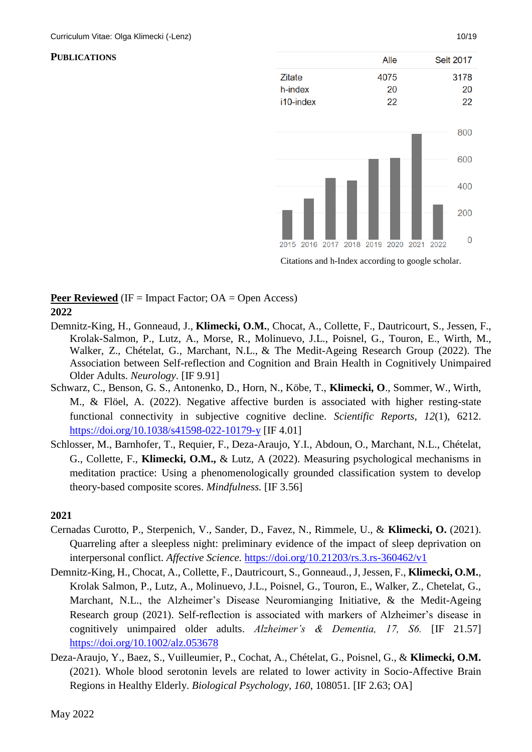### **PUBLICATIONS**



Citations and h-Index according to google scholar.

## **Peer Reviewed** (IF = Impact Factor; OA = Open Access) **2022**

- Demnitz-King, H., Gonneaud, J., **Klimecki, O.M.**, Chocat, A., Collette, F., Dautricourt, S., Jessen, F., Krolak-Salmon, P., Lutz, A., Morse, R., Molinuevo, J.L., Poisnel, G., Touron, E., Wirth, M., Walker, Z., Chételat, G., Marchant, N.L., & The Medit-Ageing Research Group (2022). The Association between Self-reflection and Cognition and Brain Health in Cognitively Unimpaired Older Adults. *Neurology*. [IF 9.91]
- Schwarz, C., Benson, G. S., Antonenko, D., Horn, N., Köbe, T., **Klimecki, O**., Sommer, W., Wirth, M., & Flöel, A. (2022). Negative affective burden is associated with higher resting-state functional connectivity in subjective cognitive decline. *Scientific Reports*, *12*(1), 6212. <https://doi.org/10.1038/s41598-022-10179-y> [IF 4.01]
- Schlosser, M., Barnhofer, T., Requier, F., Deza-Araujo, Y.I., Abdoun, O., Marchant, N.L., Chételat, G., Collette, F., **Klimecki, O.M.,** & Lutz, A (2022). Measuring psychological mechanisms in meditation practice: Using a phenomenologically grounded classification system to develop theory-based composite scores. *Mindfulness.* [IF 3.56]

- Cernadas Curotto, P., Sterpenich, V., Sander, D., Favez, N., Rimmele, U., & **Klimecki, O.** (2021). Quarreling after a sleepless night: preliminary evidence of the impact of sleep deprivation on interpersonal conflict. *Affective Science.* <https://doi.org/10.21203/rs.3.rs-360462/v1>
- Demnitz-King, H., Chocat, A., Collette, F., Dautricourt, S., Gonneaud., J, Jessen, F., **Klimecki, O.M.**, Krolak Salmon, P., Lutz, A., Molinuevo, J.L., Poisnel, G., Touron, E., Walker, Z., Chetelat, G., Marchant, N.L., the Alzheimer's Disease Neuromianging Initiative, & the Medit-Ageing Research group (2021). Self-reflection is associated with markers of Alzheimer's disease in cognitively unimpaired older adults. *Alzheimer's & Dementia, 17, S6.* [IF 21.57] <https://doi.org/10.1002/alz.053678>
- Deza-Araujo, Y., Baez, S., Vuilleumier, P., Cochat, A., Chételat, G., Poisnel, G., & **Klimecki, O.M.** (2021). Whole blood serotonin levels are related to lower activity in Socio-Affective Brain Regions in Healthy Elderly. *Biological Psychology, 160*, 108051*.* [IF 2.63; OA]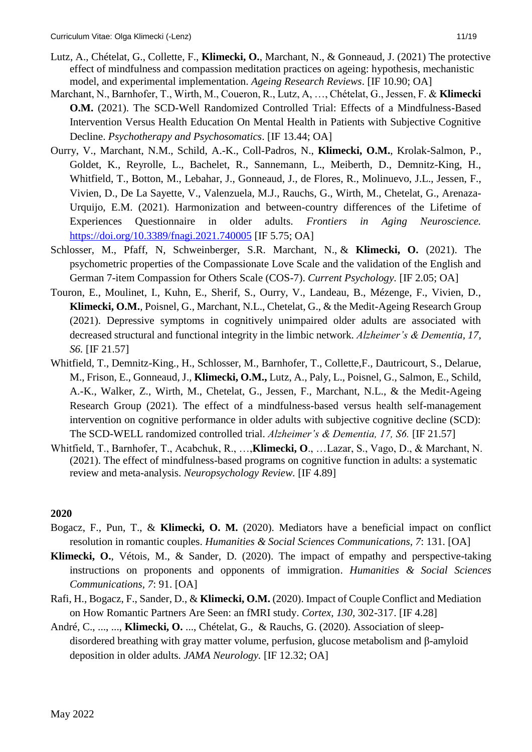- Lutz, A., Chételat, G., Collette, F., **Klimecki, O.**, Marchant, N., & Gonneaud, J. (2021) The protective effect of mindfulness and compassion meditation practices on ageing: hypothesis, mechanistic model, and experimental implementation. *Ageing Research Reviews*. [IF 10.90; OA]
- Marchant, N., Barnhofer, T., Wirth, M., Coueron, R., Lutz, A, …, Chételat, G., Jessen, F. & **Klimecki O.M.** (2021). The SCD-Well Randomized Controlled Trial: Effects of a Mindfulness-Based Intervention Versus Health Education On Mental Health in Patients with Subjective Cognitive Decline. *Psychotherapy and Psychosomatics*. [IF 13.44; OA]
- Ourry, V., Marchant, N.M., Schild, A.-K., Coll-Padros, N., **Klimecki, O.M.**, Krolak-Salmon, P., Goldet, K., Reyrolle, L., Bachelet, R., Sannemann, L., Meiberth, D., Demnitz-King, H., Whitfield, T., Botton, M., Lebahar, J., Gonneaud, J., de Flores, R., Molinuevo, J.L., Jessen, F., Vivien, D., De La Sayette, V., Valenzuela, M.J., Rauchs, G., Wirth, M., Chetelat, G., Arenaza-Urquijo, E.M. (2021). Harmonization and between-country differences of the Lifetime of Experiences Questionnaire in older adults. *Frontiers in Aging Neuroscience.* <https://doi.org/10.3389/fnagi.2021.740005> [IF 5.75; OA]
- Schlosser, M., Pfaff, N, Schweinberger, S.R. Marchant, N., & **Klimecki, O.** (2021). The psychometric properties of the Compassionate Love Scale and the validation of the English and German 7-item Compassion for Others Scale (COS-7). *Current Psychology.* [IF 2.05; OA]
- Touron, E., Moulinet, I., Kuhn, E., Sherif, S., Ourry, V., Landeau, B., Mézenge, F., Vivien, D., **Klimecki, O.M.**, Poisnel, G., Marchant, N.L., Chetelat, G., & the Medit-Ageing Research Group (2021). Depressive symptoms in cognitively unimpaired older adults are associated with decreased structural and functional integrity in the limbic network. *Alzheimer's & Dementia, 17, S6.* [IF 21.57]
- Whitfield, T., Demnitz-King., H., Schlosser, M., Barnhofer, T., Collette,F., Dautricourt, S., Delarue, M., Frison, E., Gonneaud, J., **Klimecki, O.M.,** Lutz, A., Paly, L., Poisnel, G., Salmon, E., Schild, A.-K., Walker, Z., Wirth, M., Chetelat, G., Jessen, F., Marchant, N.L., & the Medit-Ageing Research Group (2021). The effect of a mindfulness-based versus health self-management intervention on cognitive performance in older adults with subjective cognitive decline (SCD): The SCD-WELL randomized controlled trial. *Alzheimer's & Dementia, 17, S6.* [IF 21.57]
- Whitfield, T., Barnhofer, T., Acabchuk, R., …,**Klimecki, O**., …Lazar, S., Vago, D., & Marchant, N. (2021). The effect of mindfulness-based programs on cognitive function in adults: a systematic review and meta-analysis. *Neuropsychology Review.* [IF 4.89]

- Bogacz, F., Pun, T., & **Klimecki, O. M.** (2020). Mediators have a beneficial impact on conflict resolution in romantic couples. *Humanities & Social Sciences Communications, 7*: 131. [OA]
- **Klimecki, O.**, Vétois, M., & Sander, D. (2020). The impact of empathy and perspective-taking instructions on proponents and opponents of immigration. *Humanities & Social Sciences Communications, 7*: 91. [OA]
- Rafi, H., Bogacz, F., Sander, D., & **Klimecki, O.M.** (2020). Impact of Couple Conflict and Mediation on How Romantic Partners Are Seen: an fMRI study. *Cortex, 130,* 302-317. [IF 4.28]
- André, C., ..., ..., **Klimecki, O.** ..., Chételat, G., & Rauchs, G. (2020). Association of sleepdisordered breathing with gray matter volume, perfusion, glucose metabolism and β-amyloid deposition in older adults. *JAMA Neurology.* [IF 12.32; OA]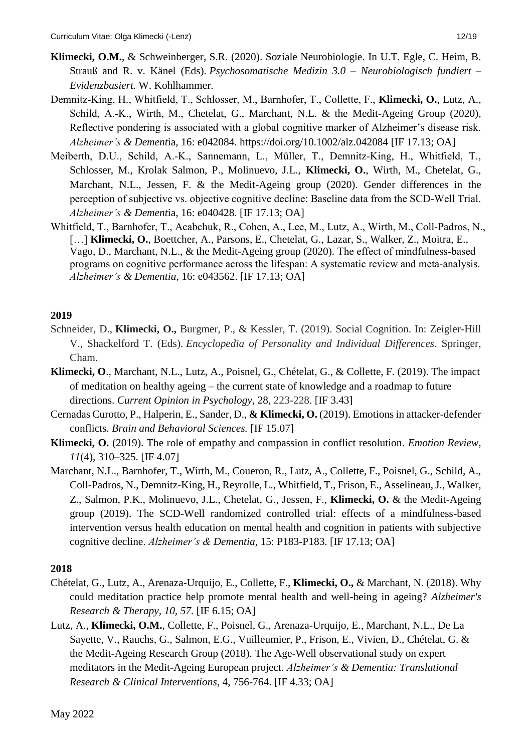- **Klimecki, O.M.**, & Schweinberger, S.R. (2020). Soziale Neurobiologie. In U.T. Egle, C. Heim, B. Strauß and R. v. Känel (Eds). *Psychosomatische Medizin 3.0 – Neurobiologisch fundiert – Evidenzbasiert.* W. Kohlhammer.
- Demnitz‐King, H., Whitfield, T., Schlosser, M., Barnhofer, T., Collette, F., **Klimecki, O.**, Lutz, A., Schild, A.-K., Wirth, M., Chetelat, G., Marchant, N.L. & the Medit-Ageing Group (2020), Reflective pondering is associated with a global cognitive marker of Alzheimer's disease risk. *Alzheimer's & Dement*ia, 16: e042084.<https://doi.org/10.1002/alz.042084> [IF 17.13; OA]
- Meiberth, D.U., Schild, A.‐K., Sannemann, L., Müller, T., Demnitz‐King, H., Whitfield, T., Schlosser, M., Krolak Salmon, P., Molinuevo, J.L., **Klimecki, O.**, Wirth, M., Chetelat, G., Marchant, N.L., Jessen, F. & the Medit-Ageing group (2020). Gender differences in the perception of subjective vs. objective cognitive decline: Baseline data from the SCD‐Well Trial. *Alzheimer's & Dement*ia, 16: e040428. [IF 17.13; OA]
- Whitfield, T., Barnhofer, T., Acabchuk, R., Cohen, A., Lee, M., Lutz, A., Wirth, M., Coll‐Padros, N., [...] **Klimecki, O.**, Boettcher, A., Parsons, E., Chetelat, G., Lazar, S., Walker, Z., Moitra, E., Vago, D., Marchant, N.L., & the Medit-Ageing group (2020). The effect of mindfulness‐based programs on cognitive performance across the lifespan: A systematic review and meta‐analysis. *Alzheimer's & Dementia*, 16: e043562. [IF 17.13; OA]

- Schneider, D., **Klimecki, O.,** Burgmer, P., & Kessler, T. (2019). Social Cognition. In: Zeigler-Hill V., Shackelford T. (Eds). *Encyclopedia of Personality and Individual Differences*. Springer, Cham.
- **Klimecki, O**., Marchant, N.L., Lutz, A., Poisnel, G., Chételat, G., & Collette, F. (2019). The impact of meditation on healthy ageing – the current state of knowledge and a roadmap to future directions. *Current Opinion in Psychology*, 28, 223-228. [IF 3.43]
- Cernadas Curotto, P., Halperin, E., Sander, D., **& Klimecki, O.** (2019). Emotions in attacker-defender conflicts. *Brain and Behavioral Sciences.* [IF 15.07]
- **Klimecki, O.** (2019). The role of empathy and compassion in conflict resolution. *Emotion Review, 11*(4), 310–325. [IF 4.07]
- Marchant, N.L., Barnhofer, T., Wirth, M., Coueron, R., Lutz, A., Collette, F., Poisnel, G., Schild, A., Coll-Padros, N., Demnitz-King, H., Reyrolle, L., Whitfield, T., Frison, E., Asselineau, J., Walker, Z., Salmon, P.K., Molinuevo, J.L., Chetelat, G., Jessen, F., **Klimecki, O.** & the Medit-Ageing group (2019). The SCD-Well randomized controlled trial: effects of a mindfulness-based intervention versus health education on mental health and cognition in patients with subjective cognitive decline. *Alzheimer's & Dementia*, 15: P183-P183. [IF 17.13; OA]

- Chételat, G., Lutz, A., Arenaza-Urquijo, E., Collette, F., **Klimecki, O.,** & Marchant, N. (2018). Why could meditation practice help promote mental health and well-being in ageing? *Alzheimer's Research & Therapy, 10, 57.* [IF 6.15; OA]
- Lutz, A., **Klimecki, O.M.**, Collette, F., Poisnel, G., Arenaza-Urquijo, E., Marchant, N.L., De La Sayette, V., Rauchs, G., Salmon, E.G., Vuilleumier, P., Frison, E., Vivien, D., Chételat, G. & the Medit-Ageing Research Group (2018). The Age-Well observational study on expert meditators in the Medit-Ageing European project. *Alzheimer's & Dementia: Translational Research & Clinical Interventions*, 4, 756-764. [IF 4.33; OA]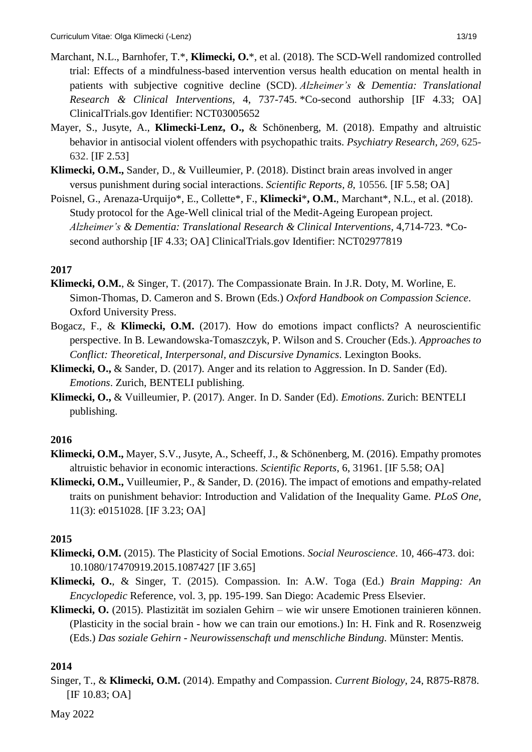- Marchant, N.L., Barnhofer, T.\*, **Klimecki, O.**\*, et al. (2018). The SCD-Well randomized controlled trial: Effects of a mindfulness-based intervention versus health education on mental health in patients with subjective cognitive decline (SCD). *Alzheimer's & Dementia: Translational Research & Clinical Interventions,* 4, 737-745. \*Co-second authorship [IF 4.33; OA] ClinicalTrials.gov Identifier: NCT03005652
- Mayer, S., Jusyte, A., **Klimecki-Lenz, O.,** & Schönenberg, M. (2018). Empathy and altruistic behavior in antisocial violent offenders with psychopathic traits. *Psychiatry Research, 269*, 625- 632. [IF 2.53]
- **Klimecki, O.M.,** Sander, D., & Vuilleumier, P. (2018). Distinct brain areas involved in anger versus punishment during social interactions. *Scientific Reports, 8,* 10556*.* [IF 5.58; OA]
- Poisnel, G., Arenaza-Urquijo\*, E., Collette\*, F., **Klimecki**\***, O.M.**, Marchant\*, N.L., et al. (2018). Study protocol for the Age-Well clinical trial of the Medit-Ageing European project. *Alzheimer's & Dementia: Translational Research & Clinical Interventions,* 4,714-723. \*Cosecond authorship [IF 4.33; OA] ClinicalTrials.gov Identifier: NCT02977819

- **Klimecki, O.M.**, & Singer, T. (2017). The Compassionate Brain. In J.R. Doty, M. Worline, E. Simon-Thomas, D. Cameron and S. Brown (Eds.) *Oxford Handbook on Compassion Science*. Oxford University Press.
- Bogacz, F., & **Klimecki, O.M.** (2017). How do emotions impact conflicts? A neuroscientific perspective. In B. Lewandowska-Tomaszczyk, P. Wilson and S. Croucher (Eds.). *Approaches to Conflict: Theoretical, Interpersonal, and Discursive Dynamics*. Lexington Books.
- **Klimecki, O.,** & Sander, D. (2017). Anger and its relation to Aggression. In D. Sander (Ed). *Emotions*. Zurich, BENTELI publishing.
- **Klimecki, O.,** & Vuilleumier, P. (2017). Anger. In D. Sander (Ed). *Emotions*. Zurich: BENTELI publishing.

## **2016**

- **Klimecki, O.M.,** Mayer, S.V., Jusyte, A., Scheeff, J., & Schönenberg, M. (2016). Empathy promotes altruistic behavior in economic interactions. *Scientific Reports*, 6, 31961. [IF 5.58; OA]
- **Klimecki, O.M.,** Vuilleumier, P., & Sander, D. (2016). The impact of emotions and empathy-related traits on punishment behavior: Introduction and Validation of the Inequality Game. *PLoS One,*  11(3): e0151028. [IF 3.23; OA]

## **2015**

- **Klimecki, O.M.** (2015). The Plasticity of Social Emotions. *Social Neuroscience*. 10, 466-473. doi: 10.1080/17470919.2015.1087427 [IF 3.65]
- **Klimecki, O.**, & Singer, T. (2015). Compassion. In: A.W. Toga (Ed.) *Brain Mapping: An Encyclopedic* Reference, vol. 3, pp. 195-199. San Diego: Academic Press Elsevier.
- **Klimecki, O.** (2015). Plastizität im sozialen Gehirn wie wir unsere Emotionen trainieren können. (Plasticity in the social brain - how we can train our emotions.) In: H. Fink and R. Rosenzweig (Eds.) *Das soziale Gehirn - Neurowissenschaft und menschliche Bindung.* Münster: Mentis.

## **2014**

Singer, T., & **Klimecki, O.M.** (2014). Empathy and Compassion. *Current Biology*, 24, R875-R878. [IF 10.83; OA]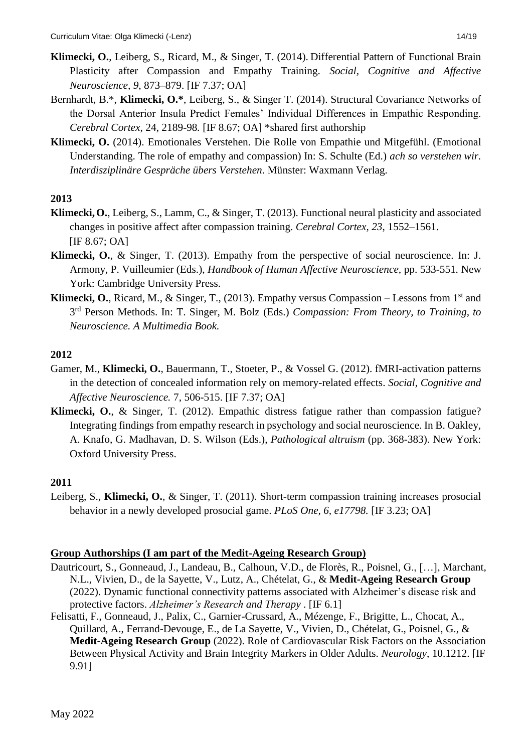- Bernhardt, B.\*, **Klimecki, O.\***, Leiberg, S., & Singer T. (2014). Structural Covariance Networks of the Dorsal Anterior Insula Predict Females' Individual Differences in Empathic Responding. *Cerebral Cortex,* 24, 2189-98*.* [IF 8.67; OA] \*shared first authorship
- **Klimecki, O.** (2014). Emotionales Verstehen. Die Rolle von Empathie und Mitgefühl. (Emotional Understanding. The role of empathy and compassion) In: S. Schulte (Ed.) *ach so verstehen wir. Interdisziplinäre Gespräche übers Verstehen*. Münster: Waxmann Verlag.

- **Klimecki,O.**, Leiberg, S., Lamm, C., & Singer, T. (2013). Functional neural plasticity and associated changes in positive affect after compassion training. *Cerebral Cortex, 23*, 1552–1561. [IF 8.67; OA]
- **Klimecki, O.**, & Singer, T. (2013). Empathy from the perspective of social neuroscience. In: J. Armony, P. Vuilleumier (Eds.), *Handbook of Human Affective Neuroscience,* pp. 533-551*.* New York: Cambridge University Press.
- **Klimecki, O.**, Ricard, M., & Singer, T., (2013). Empathy versus Compassion Lessons from  $1<sup>st</sup>$  and 3 rd Person Methods. In: T. Singer, M. Bolz (Eds.) *Compassion: From Theory, to Training, to Neuroscience. A Multimedia Book.*

# **2012**

- Gamer, M., **Klimecki, O.**, Bauermann, T., Stoeter, P., & Vossel G. (2012). fMRI-activation patterns in the detection of concealed information rely on memory-related effects. *Social, Cognitive and Affective Neuroscience.* 7, 506-515. [IF 7.37; OA]
- **Klimecki, O.**, & Singer, T. (2012). Empathic distress fatigue rather than compassion fatigue? Integrating findings from empathy research in psychology and social neuroscience. In B. Oakley, A. Knafo, G. Madhavan, D. S. Wilson (Eds.), *Pathological altruism* (pp. 368-383). New York: Oxford University Press.

# **2011**

Leiberg, S., **Klimecki, O.**, & Singer, T. (2011). Short-term compassion training increases prosocial behavior in a newly developed prosocial game. *PLoS One, 6, e17798.* [IF 3.23; OA]

# **Group Authorships (I am part of the Medit-Ageing Research Group)**

- Dautricourt, S., Gonneaud, J., Landeau, B., Calhoun, V.D., de Florès, R., Poisnel, G., […], Marchant, N.L., Vivien, D., de la Sayette, V., Lutz, A., Chételat, G., & **Medit-Ageing Research Group** (2022). Dynamic functional connectivity patterns associated with Alzheimer's disease risk and protective factors. *Alzheimer's Research and Therapy* . [IF 6.1]
- Felisatti, F., Gonneaud, J., Palix, C., Garnier-Crussard, A., Mézenge, F., Brigitte, L., Chocat, A., Quillard, A., Ferrand-Devouge, E., de La Sayette, V., Vivien, D., Chételat, G., Poisnel, G., & **Medit-Ageing Research Group** (2022). Role of Cardiovascular Risk Factors on the Association Between Physical Activity and Brain Integrity Markers in Older Adults. *Neurology*, 10.1212. [IF 9.91]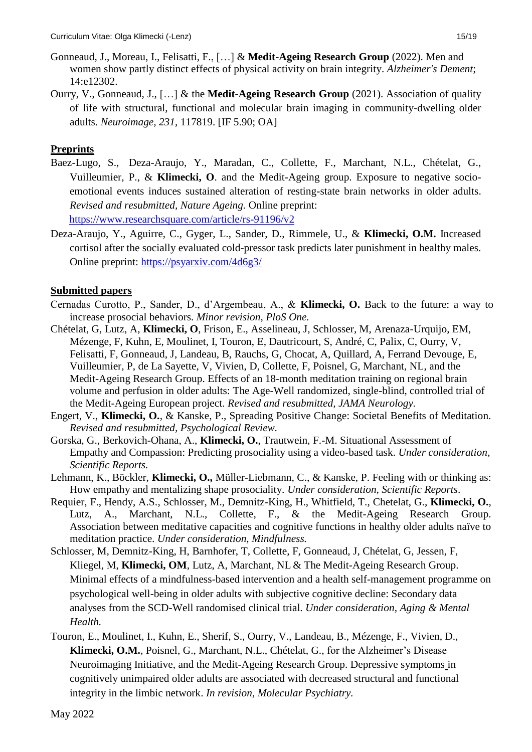- Gonneaud, J., Moreau, I., Felisatti, F., […] & **Medit-Ageing Research Group** (2022). Men and women show partly distinct effects of physical activity on brain integrity. *Alzheimer's Dement*; 14:e12302.
- Ourry, V., Gonneaud, J., […] & the **Medit-Ageing Research Group** (2021). Association of quality of life with structural, functional and molecular brain imaging in community-dwelling older adults. *Neuroimage, 231*, 117819. [IF 5.90; OA]

# **Preprints**

- Baez-Lugo, S., Deza-Araujo, Y., Maradan, C., Collette, F., Marchant, N.L., Chételat, G., Vuilleumier, P., & **Klimecki, O**. and the Medit-Ageing group. Exposure to negative socioemotional events induces sustained alteration of resting-state brain networks in older adults. *Revised and resubmitted, Nature Ageing.* Online preprint: <https://www.researchsquare.com/article/rs-91196/v2>
- Deza-Araujo, Y., Aguirre, C., Gyger, L., Sander, D., Rimmele, U., & **Klimecki, O.M.** Increased cortisol after the socially evaluated cold-pressor task predicts later punishment in healthy males. Online preprint:<https://psyarxiv.com/4d6g3/>

# **Submitted papers**

- Cernadas Curotto, P., Sander, D., d'Argembeau, A., & **Klimecki, O.** Back to the future: a way to increase prosocial behaviors. *Minor revision, PloS One.*
- Chételat, G, Lutz, A, **Klimecki, O**, Frison, E., Asselineau, J, Schlosser, M, Arenaza-Urquijo, EM, Mézenge, F, Kuhn, E, Moulinet, I, Touron, E, Dautricourt, S, André, C, Palix, C, Ourry, V, Felisatti, F, Gonneaud, J, Landeau, B, Rauchs, G, Chocat, A, Quillard, A, Ferrand Devouge, E, Vuilleumier, P, de La Sayette, V, Vivien, D, Collette, F, Poisnel, G, Marchant, NL, and the Medit-Ageing Research Group. Effects of an 18-month meditation training on regional brain volume and perfusion in older adults: The Age-Well randomized, single-blind, controlled trial of the Medit-Ageing European project. *Revised and resubmitted, JAMA Neurology.*
- Engert, V., **Klimecki, O.**, & Kanske, P., Spreading Positive Change: Societal Benefits of Meditation. *Revised and resubmitted, Psychological Review.*
- Gorska, G., Berkovich-Ohana, A., **Klimecki, O.**, Trautwein, F.-M. Situational Assessment of Empathy and Compassion: Predicting prosociality using a video-based task. *Under consideration, Scientific Reports.*
- Lehmann, K., Böckler, **Klimecki, O.,** Müller-Liebmann, C., & Kanske, P. Feeling with or thinking as: How empathy and mentalizing shape prosociality. *Under consideration, Scientific Reports*.
- Requier, F., Hendy, A.S., Schlosser, M., Demnitz-King, H., Whitfield, T., Chetelat, G., **Klimecki, O.**, Lutz, A., Marchant, N.L., Collette, F., & the Medit-Ageing Research Group. Association between meditative capacities and cognitive functions in healthy older adults naïve to meditation practice. *Under consideration, Mindfulness.*
- Schlosser, M, Demnitz-King, H, Barnhofer, T, Collette, F, Gonneaud, J, Chételat, G, Jessen, F, Kliegel, M, **Klimecki, OM**, Lutz, A, Marchant, NL & The Medit-Ageing Research Group. Minimal effects of a mindfulness-based intervention and a health self-management programme on psychological well-being in older adults with subjective cognitive decline: Secondary data analyses from the SCD-Well randomised clinical trial. *Under consideration, Aging & Mental Health.*
- Touron, E., Moulinet, I., Kuhn, E., Sherif, S., Ourry, V., Landeau, B., Mézenge, F., Vivien, D., **Klimecki, O.M.**, Poisnel, G., Marchant, N.L., Chételat, G., for the Alzheimer's Disease Neuroimaging Initiative, and the Medit-Ageing Research Group. Depressive symptoms in cognitively unimpaired older adults are associated with decreased structural and functional integrity in the limbic network. *In revision, Molecular Psychiatry.*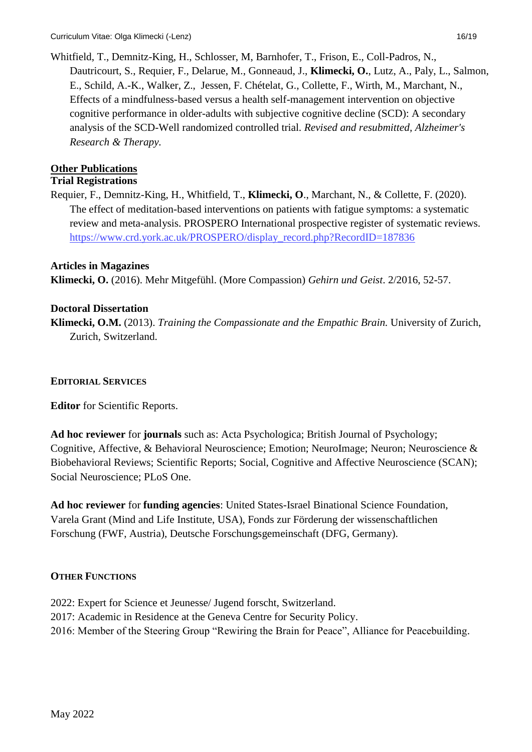Whitfield, T., Demnitz-King, H., Schlosser, M, Barnhofer, T., Frison, E., Coll-Padros, N., Dautricourt, S., Requier, F., Delarue, M., Gonneaud, J., **Klimecki, O.**, Lutz, A., Paly, L., Salmon, E., Schild, A.-K., Walker, Z., Jessen, F. Chételat, G., Collette, F., Wirth, M., Marchant, N., Effects of a mindfulness-based versus a health self-management intervention on objective cognitive performance in older-adults with subjective cognitive decline (SCD): A secondary analysis of the SCD-Well randomized controlled trial. *Revised and resubmitted, Alzheimer's Research & Therapy.* 

# **Other Publications**

## **Trial Registrations**

Requier, F., Demnitz-King, H., Whitfield, T., **Klimecki, O**., Marchant, N., & Collette, F. (2020). The effect of meditation-based interventions on patients with fatigue symptoms: a systematic review and meta-analysis. PROSPERO International prospective register of systematic reviews. [https://www.crd.york.ac.uk/PROSPERO/display\\_record.php?RecordID=187836](https://www.crd.york.ac.uk/PROSPERO/display_record.php?RecordID=187836)

# **Articles in Magazines**

**Klimecki, O.** (2016). Mehr Mitgefühl. (More Compassion) *Gehirn und Geist*. 2/2016, 52-57.

# **Doctoral Dissertation**

**Klimecki, O.M.** (2013). *Training the Compassionate and the Empathic Brain.* University of Zurich, Zurich, Switzerland.

## **EDITORIAL SERVICES**

**Editor** for Scientific Reports.

**Ad hoc reviewer** for **journals** such as: Acta Psychologica; British Journal of Psychology; Cognitive, Affective, & Behavioral Neuroscience; Emotion; NeuroImage; Neuron; Neuroscience & Biobehavioral Reviews; Scientific Reports; Social, Cognitive and Affective Neuroscience (SCAN); Social Neuroscience; PLoS One.

**Ad hoc reviewer** for **funding agencies**: United States-Israel Binational Science Foundation, Varela Grant (Mind and Life Institute, USA), Fonds zur Förderung der wissenschaftlichen Forschung (FWF, Austria), Deutsche Forschungsgemeinschaft (DFG, Germany).

# **OTHER FUNCTIONS**

- 2022: Expert for Science et Jeunesse/ Jugend forscht, Switzerland.
- 2017: Academic in Residence at the Geneva Centre for Security Policy.
- 2016: Member of the Steering Group "Rewiring the Brain for Peace", Alliance for Peacebuilding.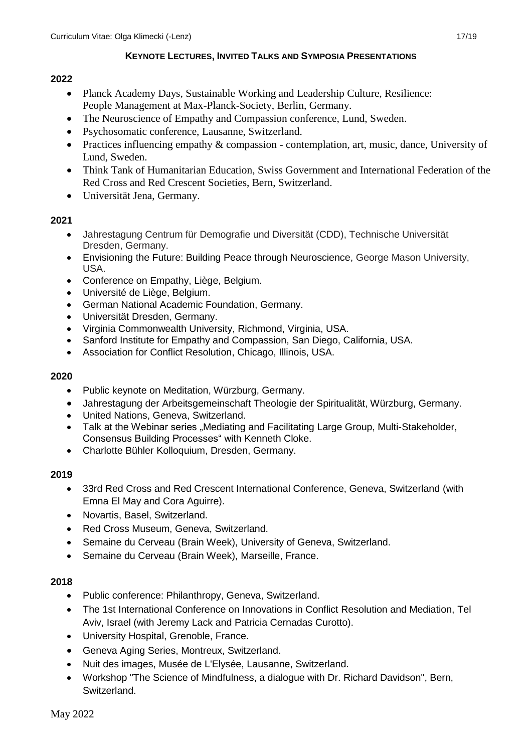### **KEYNOTE LECTURES, INVITED TALKS AND SYMPOSIA PRESENTATIONS**

### **2022**

- Planck Academy Days, Sustainable Working and Leadership Culture, Resilience: People Management at Max-Planck-Society, Berlin, Germany.
- The Neuroscience of Empathy and Compassion conference, Lund, Sweden.
- Psychosomatic conference, Lausanne, Switzerland.
- Practices influencing empathy & compassion contemplation, art, music, dance, University of Lund, Sweden.
- Think Tank of Humanitarian Education, Swiss Government and International Federation of the Red Cross and Red Crescent Societies, Bern, Switzerland.
- Universität Jena, Germany.

### **2021**

- Jahrestagung Centrum für Demografie und Diversität (CDD), Technische Universität Dresden, Germany.
- Envisioning the Future: Building Peace through Neuroscience, George Mason University, USA.
- Conference on Empathy, Liège, Belgium.
- Université de Liège, Belgium.
- German National Academic Foundation, Germany.
- Universität Dresden, Germany.
- Virginia Commonwealth University, Richmond, Virginia, USA.
- Sanford Institute for Empathy and Compassion, San Diego, California, USA.
- Association for Conflict Resolution, Chicago, Illinois, USA.

### **2020**

- Public keynote on Meditation, Würzburg, Germany.
- Jahrestagung der Arbeitsgemeinschaft Theologie der Spiritualität, Würzburg, Germany.
- United Nations, Geneva, Switzerland.
- Talk at the Webinar series "Mediating and Facilitating Large Group, Multi-Stakeholder, Consensus Building Processes" with Kenneth Cloke.
- Charlotte Bühler Kolloquium, Dresden, Germany.

## **2019**

- 33rd Red Cross and Red Crescent International Conference, Geneva, Switzerland (with Emna El May and Cora Aguirre).
- Novartis, Basel, Switzerland.
- Red Cross Museum, Geneva, Switzerland.
- Semaine du Cerveau (Brain Week), University of Geneva, Switzerland.
- Semaine du Cerveau (Brain Week), Marseille, France.

- Public conference: Philanthropy, Geneva, Switzerland.
- The 1st International Conference on Innovations in Conflict Resolution and Mediation, Tel Aviv, Israel (with Jeremy Lack and Patricia Cernadas Curotto).
- University Hospital, Grenoble, France.
- Geneva Aging Series, Montreux, Switzerland.
- Nuit des images, Musée de L'Elysée, Lausanne, Switzerland.
- Workshop "The Science of Mindfulness, a dialogue with Dr. Richard Davidson", Bern, Switzerland.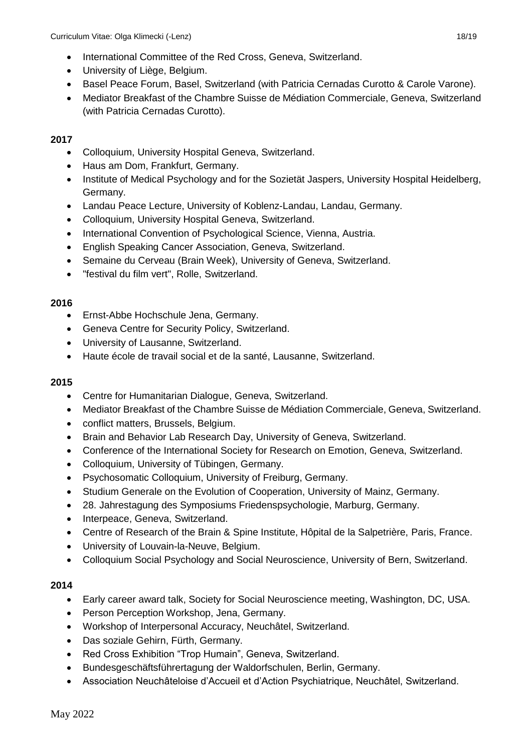- International Committee of the Red Cross, Geneva, Switzerland.
- University of Liège, Belgium.
- Basel Peace Forum, Basel, Switzerland (with Patricia Cernadas Curotto & Carole Varone).
- Mediator Breakfast of the Chambre Suisse de Médiation Commerciale, Geneva, Switzerland (with Patricia Cernadas Curotto).

- Colloquium, University Hospital Geneva, Switzerland.
- Haus am Dom, Frankfurt, Germany.
- Institute of Medical Psychology and for the Sozietät Jaspers, University Hospital Heidelberg, Germany.
- Landau Peace Lecture, University of Koblenz-Landau, Landau, Germany.
- *C*olloquium, University Hospital Geneva, Switzerland.
- International Convention of Psychological Science, Vienna, Austria.
- English Speaking Cancer Association, Geneva, Switzerland.
- Semaine du Cerveau (Brain Week), University of Geneva, Switzerland.
- "festival du film vert", Rolle, Switzerland.

## **2016**

- Ernst-Abbe Hochschule Jena, Germany.
- Geneva Centre for Security Policy, Switzerland.
- University of Lausanne, Switzerland.
- Haute école de travail social et de la santé, Lausanne, Switzerland.

## **2015**

- Centre for Humanitarian Dialogue, Geneva, Switzerland.
- Mediator Breakfast of the Chambre Suisse de Médiation Commerciale, Geneva, Switzerland.
- conflict matters, Brussels, Belgium.
- Brain and Behavior Lab Research Day, University of Geneva, Switzerland.
- Conference of the International Society for Research on Emotion, Geneva, Switzerland.
- Colloquium, University of Tübingen, Germany.
- Psychosomatic Colloquium, University of Freiburg, Germany.
- Studium Generale on the Evolution of Cooperation, University of Mainz, Germany.
- 28. Jahrestagung des Symposiums Friedenspsychologie, Marburg, Germany.
- Interpeace, Geneva, Switzerland.
- Centre of Research of the Brain & Spine Institute, Hôpital de la Salpetrière, Paris, France.
- University of Louvain-la-Neuve, Belgium.
- Colloquium Social Psychology and Social Neuroscience, University of Bern, Switzerland.

- Early career award talk, Society for Social Neuroscience meeting, Washington, DC, USA.
- Person Perception Workshop, Jena, Germany.
- Workshop of Interpersonal Accuracy, Neuchâtel, Switzerland.
- Das soziale Gehirn, Fürth, Germany.
- Red Cross Exhibition "Trop Humain", Geneva, Switzerland.
- Bundesgeschäftsführertagung der Waldorfschulen, Berlin, Germany.
- Association Neuchâteloise d'Accueil et d'Action Psychiatrique, Neuchâtel, Switzerland.